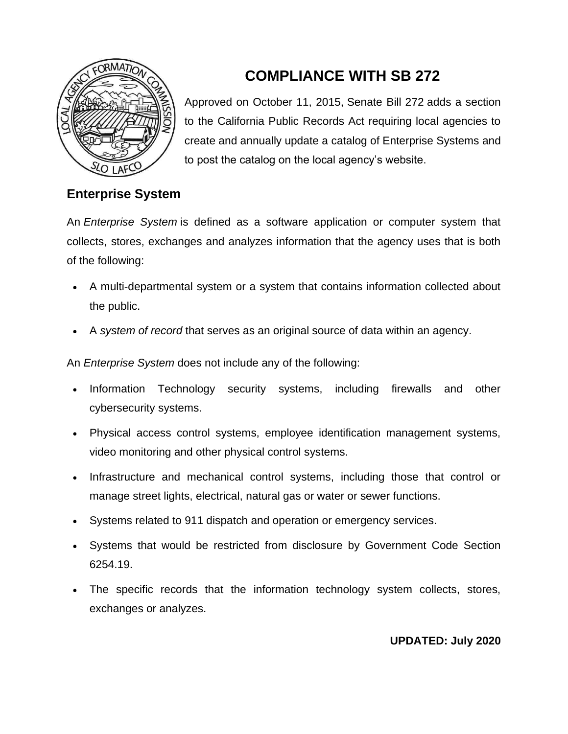

# **COMPLIANCE WITH SB 272**

Approved on October 11, 2015, [Senate Bill 272](https://leginfo.legislature.ca.gov/faces/billNavClient.xhtml?bill_id=201520160SB272) adds a section to the California Public Records Act requiring local agencies to create and annually update a catalog of Enterprise Systems and to post the catalog on the local agency's website.

## **Enterprise System**

An *Enterprise System* is defined as a software application or computer system that collects, stores, exchanges and analyzes information that the agency uses that is both of the following:

- A multi-departmental system or a system that contains information collected about the public.
- A *system of record* that serves as an original source of data within an agency.

An *Enterprise System* does not include any of the following:

- Information Technology security systems, including firewalls and other cybersecurity systems.
- Physical access control systems, employee identification management systems, video monitoring and other physical control systems.
- Infrastructure and mechanical control systems, including those that control or manage street lights, electrical, natural gas or water or sewer functions.
- Systems related to 911 dispatch and operation or emergency services.
- Systems that would be restricted from disclosure by Government Code Section 6254.19.
- The specific records that the information technology system collects, stores, exchanges or analyzes.

#### **UPDATED: July 2020**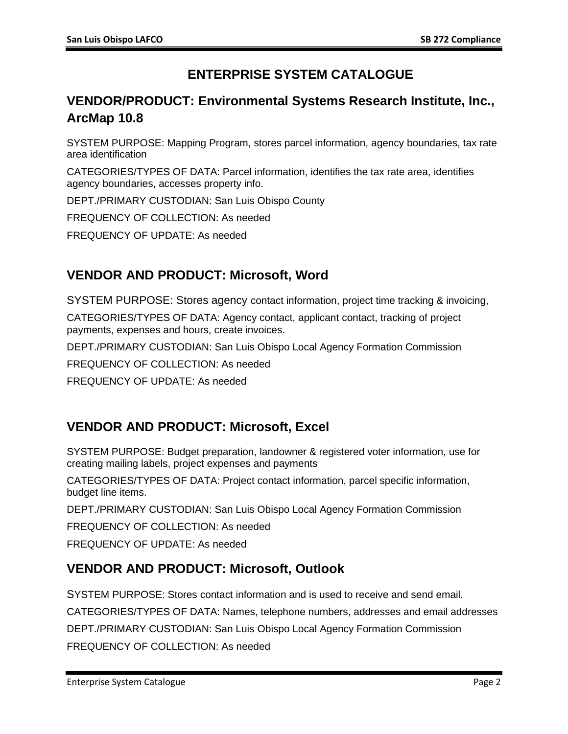## **ENTERPRISE SYSTEM CATALOGUE**

## **VENDOR/PRODUCT: Environmental Systems Research Institute, Inc., ArcMap 10.8**

SYSTEM PURPOSE: Mapping Program, stores parcel information, agency boundaries, tax rate area identification

CATEGORIES/TYPES OF DATA: Parcel information, identifies the tax rate area, identifies agency boundaries, accesses property info.

DEPT./PRIMARY CUSTODIAN: San Luis Obispo County

FREQUENCY OF COLLECTION: As needed

FREQUENCY OF UPDATE: As needed

## **VENDOR AND PRODUCT: Microsoft, Word**

SYSTEM PURPOSE: Stores agency contact information, project time tracking & invoicing,

CATEGORIES/TYPES OF DATA: Agency contact, applicant contact, tracking of project payments, expenses and hours, create invoices.

DEPT./PRIMARY CUSTODIAN: San Luis Obispo Local Agency Formation Commission

FREQUENCY OF COLLECTION: As needed

FREQUENCY OF UPDATE: As needed

## **VENDOR AND PRODUCT: Microsoft, Excel**

SYSTEM PURPOSE: Budget preparation, landowner & registered voter information, use for creating mailing labels, project expenses and payments

CATEGORIES/TYPES OF DATA: Project contact information, parcel specific information, budget line items.

DEPT./PRIMARY CUSTODIAN: San Luis Obispo Local Agency Formation Commission

FREQUENCY OF COLLECTION: As needed

FREQUENCY OF UPDATE: As needed

## **VENDOR AND PRODUCT: Microsoft, Outlook**

SYSTEM PURPOSE: Stores contact information and is used to receive and send email. CATEGORIES/TYPES OF DATA: Names, telephone numbers, addresses and email addresses DEPT./PRIMARY CUSTODIAN: San Luis Obispo Local Agency Formation Commission FREQUENCY OF COLLECTION: As needed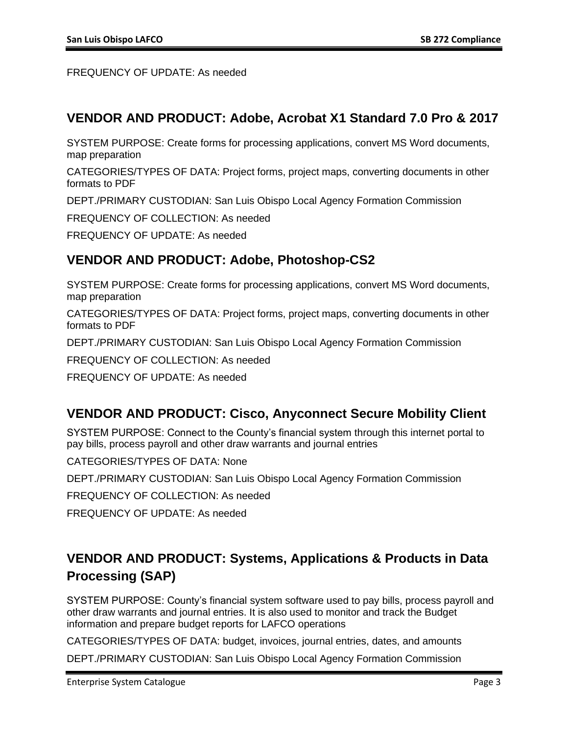FREQUENCY OF UPDATE: As needed

### **VENDOR AND PRODUCT: Adobe, Acrobat X1 Standard 7.0 Pro & 2017**

SYSTEM PURPOSE: Create forms for processing applications, convert MS Word documents, map preparation

CATEGORIES/TYPES OF DATA: Project forms, project maps, converting documents in other formats to PDF

DEPT./PRIMARY CUSTODIAN: San Luis Obispo Local Agency Formation Commission

FREQUENCY OF COLLECTION: As needed

FREQUENCY OF UPDATE: As needed

#### **VENDOR AND PRODUCT: Adobe, Photoshop-CS2**

SYSTEM PURPOSE: Create forms for processing applications, convert MS Word documents, map preparation

CATEGORIES/TYPES OF DATA: Project forms, project maps, converting documents in other formats to PDF

DEPT./PRIMARY CUSTODIAN: San Luis Obispo Local Agency Formation Commission

FREQUENCY OF COLLECTION: As needed

FREQUENCY OF UPDATE: As needed

#### **VENDOR AND PRODUCT: Cisco, Anyconnect Secure Mobility Client**

SYSTEM PURPOSE: Connect to the County's financial system through this internet portal to pay bills, process payroll and other draw warrants and journal entries

CATEGORIES/TYPES OF DATA: None

DEPT./PRIMARY CUSTODIAN: San Luis Obispo Local Agency Formation Commission

FREQUENCY OF COLLECTION: As needed

FREQUENCY OF UPDATE: As needed

## **VENDOR AND PRODUCT: Systems, Applications & Products in Data Processing (SAP)**

SYSTEM PURPOSE: County's financial system software used to pay bills, process payroll and other draw warrants and journal entries. It is also used to monitor and track the Budget information and prepare budget reports for LAFCO operations

CATEGORIES/TYPES OF DATA: budget, invoices, journal entries, dates, and amounts

DEPT./PRIMARY CUSTODIAN: San Luis Obispo Local Agency Formation Commission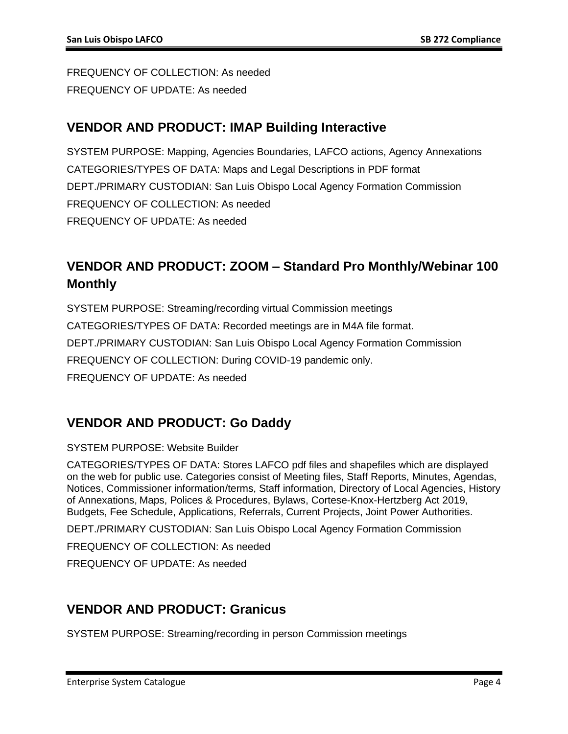FREQUENCY OF COLLECTION: As needed FREQUENCY OF UPDATE: As needed

### **VENDOR AND PRODUCT: IMAP Building Interactive**

SYSTEM PURPOSE: Mapping, Agencies Boundaries, LAFCO actions, Agency Annexations CATEGORIES/TYPES OF DATA: Maps and Legal Descriptions in PDF format DEPT./PRIMARY CUSTODIAN: San Luis Obispo Local Agency Formation Commission FREQUENCY OF COLLECTION: As needed FREQUENCY OF UPDATE: As needed

## **VENDOR AND PRODUCT: ZOOM – Standard Pro Monthly/Webinar 100 Monthly**

SYSTEM PURPOSE: Streaming/recording virtual Commission meetings CATEGORIES/TYPES OF DATA: Recorded meetings are in M4A file format. DEPT./PRIMARY CUSTODIAN: San Luis Obispo Local Agency Formation Commission FREQUENCY OF COLLECTION: During COVID-19 pandemic only. FREQUENCY OF UPDATE: As needed

## **VENDOR AND PRODUCT: Go Daddy**

#### SYSTEM PURPOSE: Website Builder

CATEGORIES/TYPES OF DATA: Stores LAFCO pdf files and shapefiles which are displayed on the web for public use. Categories consist of Meeting files, Staff Reports, Minutes, Agendas, Notices, Commissioner information/terms, Staff information, Directory of Local Agencies, History of Annexations, Maps, Polices & Procedures, Bylaws, Cortese-Knox-Hertzberg Act 2019, Budgets, Fee Schedule, Applications, Referrals, Current Projects, Joint Power Authorities.

DEPT./PRIMARY CUSTODIAN: San Luis Obispo Local Agency Formation Commission

FREQUENCY OF COLLECTION: As needed

FREQUENCY OF UPDATE: As needed

## **VENDOR AND PRODUCT: Granicus**

SYSTEM PURPOSE: Streaming/recording in person Commission meetings